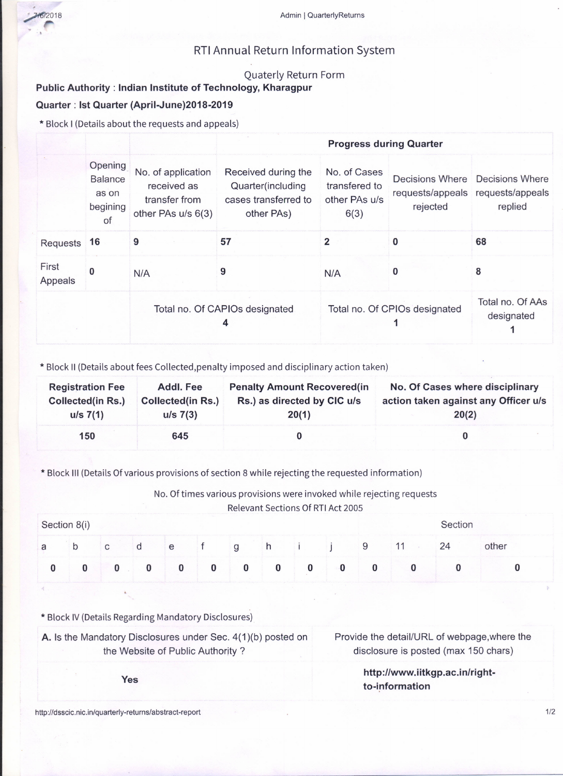

## RTI Annual Return Information System

## Quaterly Return Form

## Public Authority: Indian Institute of Technology, Kharagpur

## Quarter: 1st Quarter (April-June)2018-2019

\* Block I (Details about the requests and appeals)

|                  |                                                      |                                                                          | <b>Progress during Quarter</b>                                                 |                                                        |                                                 |                                                |  |  |  |
|------------------|------------------------------------------------------|--------------------------------------------------------------------------|--------------------------------------------------------------------------------|--------------------------------------------------------|-------------------------------------------------|------------------------------------------------|--|--|--|
|                  | Opening<br><b>Balance</b><br>as on<br>begining<br>of | No. of application<br>received as<br>transfer from<br>other PAs u/s 6(3) | Received during the<br>Quarter(including<br>cases transferred to<br>other PAs) | No. of Cases<br>transfered to<br>other PAs u/s<br>6(3) | Decisions Where<br>requests/appeals<br>rejected | Decisions Where<br>requests/appeals<br>replied |  |  |  |
| Requests         | 16                                                   | 9                                                                        | 57                                                                             | 2                                                      | 0                                               | 68                                             |  |  |  |
| First<br>Appeals | 0                                                    | N/A                                                                      | 9                                                                              | N/A                                                    | O                                               | 8                                              |  |  |  |
|                  |                                                      | Total no. Of CAPIOs designated<br>4                                      |                                                                                | Total no. Of CPIOs designated                          | Total no. Of AAs<br>designated                  |                                                |  |  |  |

\* Block 11(Details about fees Collected,penalty imposed and disciplinary action taken)

| <b>Registration Fee</b>  | Addl. Fee                | <b>Penalty Amount Recovered (in</b> | No. Of Cases where disciplinary      |
|--------------------------|--------------------------|-------------------------------------|--------------------------------------|
| <b>Collected(in Rs.)</b> | <b>Collected(in Rs.)</b> | Rs.) as directed by CIC u/s         | action taken against any Officer u/s |
| $u/s$ 7(1)               | $u/s$ 7(3)               | 20(1)                               | 20(2)                                |
| 150                      | 645                      |                                     |                                      |

\* Block III (Details Of various provisions of section 8 while rejecting the requested information)

No. Of times various provisions were invoked while rejecting requests Relevant Sections Of RTI Act 2005

|   | Section 8(i) |   |   |          |   |          |          |   |   | Section |       |
|---|--------------|---|---|----------|---|----------|----------|---|---|---------|-------|
| a | b            | C | u | e        |   | g        | h        |   | 9 | 24      | other |
|   |              | v |   | $\bf{0}$ | 0 | $\bf{0}$ | $\bf{0}$ | 0 |   |         |       |

\* Block IV (Details Regarding Mandatory Disclosures)

A. Is the Mandatory Disclosures under Sec. 4(1)(b) posted on the Website of Public Authority?

Provide the detail/URL of webpage,where the disclosure is posted (max 150 chars)

> http://www.iitkgp.ac.in/rightto-information

http://dsscic.nic.in/quarterly-returns/abstract-report *1/2*

Yes